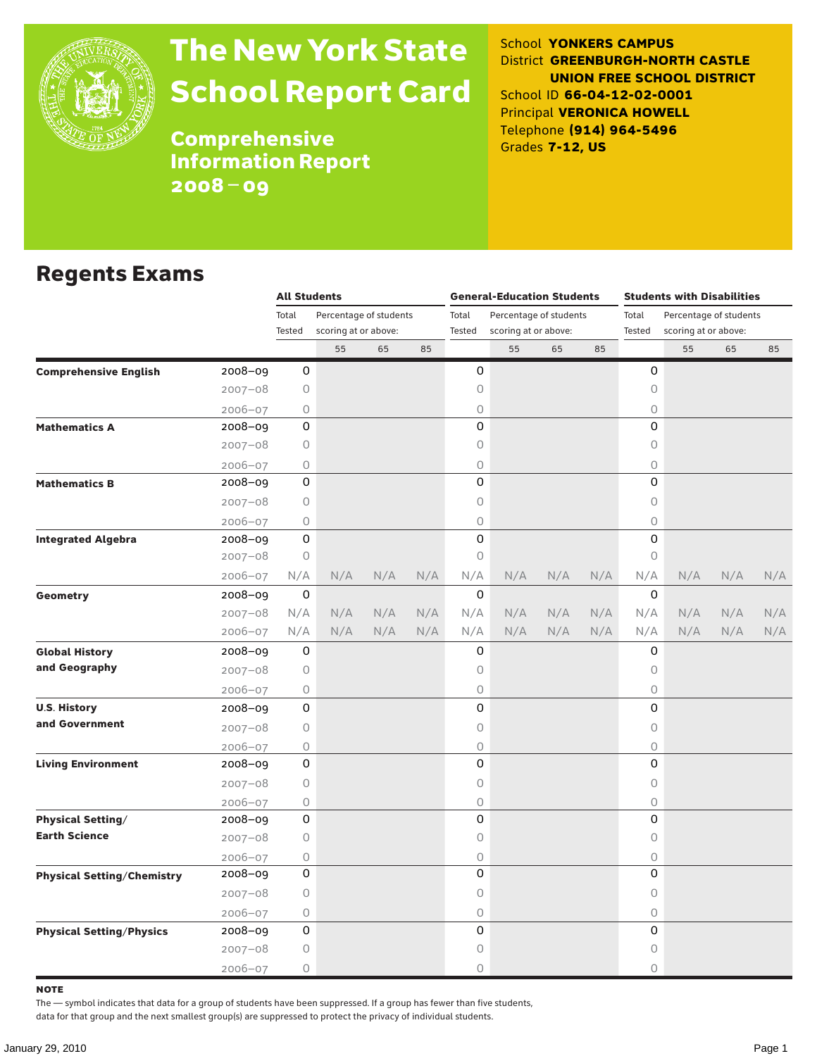

# The New York State School Report Card

School **YONKERS CAMPUS** District **GREENBURGH-NORTH CASTLE UNION FREE SCHOOL DISTRICT** School ID **66-04-12-02-0001** Principal **VERONICA HOWELL** Telephone **(914) 964-5496** Grades **7-12, US**

**Comprehensive** Information Report 2008–09

#### Regents Exams

|                                   |             | <b>All Students</b>             |                      |       |                        | <b>General-Education Students</b> |                      |                                 | <b>Students with Disabilities</b> |             |                      |     |     |
|-----------------------------------|-------------|---------------------------------|----------------------|-------|------------------------|-----------------------------------|----------------------|---------------------------------|-----------------------------------|-------------|----------------------|-----|-----|
|                                   |             | Total<br>Percentage of students |                      | Total | Percentage of students |                                   |                      | Total<br>Percentage of students |                                   |             |                      |     |     |
|                                   |             | Tested                          | scoring at or above: |       |                        | Tested                            | scoring at or above: |                                 |                                   | Tested      | scoring at or above: |     |     |
|                                   |             |                                 | 55                   | 65    | 85                     |                                   | 55                   | 65                              | 85                                |             | 55                   | 65  | 85  |
| <b>Comprehensive English</b>      | 2008-09     | 0                               |                      |       |                        | 0                                 |                      |                                 |                                   | 0           |                      |     |     |
|                                   | $2007 - 08$ | 0                               |                      |       |                        | 0                                 |                      |                                 |                                   | $\mathsf O$ |                      |     |     |
|                                   | $2006 - 07$ | 0                               |                      |       |                        | 0                                 |                      |                                 |                                   | 0           |                      |     |     |
| <b>Mathematics A</b>              | 2008-09     | 0                               |                      |       |                        | 0                                 |                      |                                 |                                   | $\Omega$    |                      |     |     |
|                                   | $2007 - 08$ | 0                               |                      |       |                        | 0                                 |                      |                                 |                                   | $\mathsf O$ |                      |     |     |
|                                   | $2006 - 07$ | 0                               |                      |       |                        | 0                                 |                      |                                 |                                   | $\circ$     |                      |     |     |
| <b>Mathematics B</b>              | 2008-09     | 0                               |                      |       |                        | 0                                 |                      |                                 |                                   | $\Omega$    |                      |     |     |
|                                   | $2007 - 08$ | 0                               |                      |       |                        | 0                                 |                      |                                 |                                   | $\circ$     |                      |     |     |
|                                   | $2006 - 07$ | 0                               |                      |       |                        | 0                                 |                      |                                 |                                   | 0           |                      |     |     |
| <b>Integrated Algebra</b>         | 2008-09     | $\mathsf 0$                     |                      |       |                        | 0                                 |                      |                                 |                                   | 0           |                      |     |     |
|                                   | $2007 - 08$ | 0                               |                      |       |                        | $\circ$                           |                      |                                 |                                   | $\mathsf O$ |                      |     |     |
|                                   | $2006 - 07$ | N/A                             | N/A                  | N/A   | N/A                    | N/A                               | N/A                  | N/A                             | N/A                               | N/A         | N/A                  | N/A | N/A |
| Geometry                          | $2008 - 09$ | 0                               |                      |       |                        | $\mathbf 0$                       |                      |                                 |                                   | 0           |                      |     |     |
|                                   | $2007 - 08$ | N/A                             | N/A                  | N/A   | N/A                    | N/A                               | N/A                  | N/A                             | N/A                               | N/A         | N/A                  | N/A | N/A |
|                                   | $2006 - 07$ | N/A                             | N/A                  | N/A   | N/A                    | N/A                               | N/A                  | N/A                             | N/A                               | N/A         | N/A                  | N/A | N/A |
| <b>Global History</b>             | 2008-09     | 0                               |                      |       |                        | 0                                 |                      |                                 |                                   | 0           |                      |     |     |
| and Geography                     | $2007 - 08$ | 0                               |                      |       |                        | 0                                 |                      |                                 |                                   | $\circ$     |                      |     |     |
|                                   | $2006 - 07$ | 0                               |                      |       |                        | 0                                 |                      |                                 |                                   | 0           |                      |     |     |
| <b>U.S. History</b>               | 2008-09     | 0                               |                      |       |                        | 0                                 |                      |                                 |                                   | 0           |                      |     |     |
| and Government                    | $2007 - 08$ | 0                               |                      |       |                        | 0                                 |                      |                                 |                                   | $\mathsf O$ |                      |     |     |
|                                   | $2006 - 07$ | 0                               |                      |       |                        | 0                                 |                      |                                 |                                   | $\bigcirc$  |                      |     |     |
| <b>Living Environment</b>         | 2008-09     | 0                               |                      |       |                        | 0                                 |                      |                                 |                                   | $\Omega$    |                      |     |     |
|                                   | $2007 - 08$ | 0                               |                      |       |                        | 0                                 |                      |                                 |                                   | $\mathsf O$ |                      |     |     |
|                                   | $2006 - 07$ | 0                               |                      |       |                        | 0                                 |                      |                                 |                                   | $\bigcirc$  |                      |     |     |
| <b>Physical Setting/</b>          | 2008-09     | 0                               |                      |       |                        | 0                                 |                      |                                 |                                   | 0           |                      |     |     |
| <b>Earth Science</b>              | $2007 - 08$ | 0                               |                      |       |                        | 0                                 |                      |                                 |                                   | $\mathsf O$ |                      |     |     |
|                                   | $2006 - 07$ | 0                               |                      |       |                        | 0                                 |                      |                                 |                                   | $\mathsf O$ |                      |     |     |
| <b>Physical Setting/Chemistry</b> | 2008-09     | 0                               |                      |       |                        | 0                                 |                      |                                 |                                   | 0           |                      |     |     |
|                                   | $2007 - 08$ | 0                               |                      |       |                        | 0                                 |                      |                                 |                                   | $\mathsf O$ |                      |     |     |
|                                   | $2006 - 07$ | 0                               |                      |       |                        | 0                                 |                      |                                 |                                   | $\bigcirc$  |                      |     |     |
| <b>Physical Setting/Physics</b>   | 2008-09     | 0                               |                      |       |                        | 0                                 |                      |                                 |                                   | 0           |                      |     |     |
|                                   | $2007 - 08$ | 0                               |                      |       |                        | 0                                 |                      |                                 |                                   | 0           |                      |     |     |
|                                   | $2006 - 07$ | 0                               |                      |       |                        | 0                                 |                      |                                 |                                   | 0           |                      |     |     |

note

The — symbol indicates that data for a group of students have been suppressed. If a group has fewer than five students,

data for that group and the next smallest group(s) are suppressed to protect the privacy of individual students.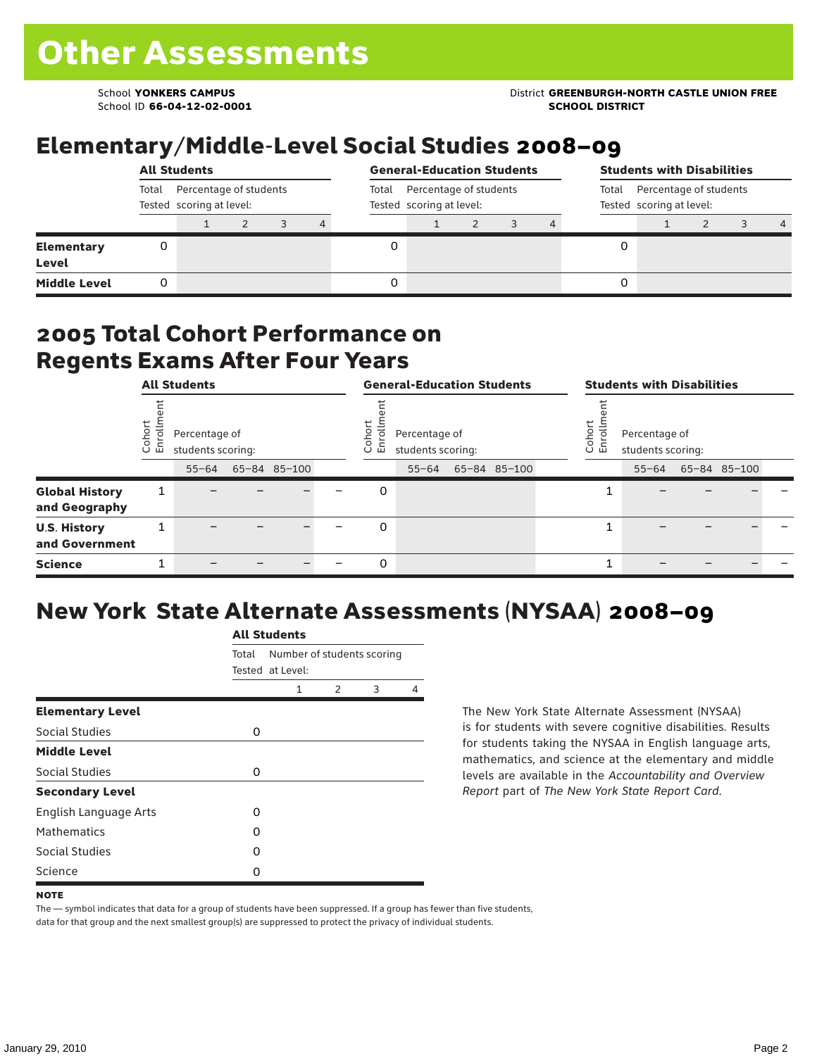School ID **66-04-12-02-0001 SCHOOL DISTRICT**

#### School **YONKERS CAMPUS** District **GREENBURGH-NORTH CASTLE UNION FREE**

### Elementary/Middle-Level Social Studies 2008–09

|                                   |       | <b>All Students</b>                                |  |   |                                                             | <b>General-Education Students</b> |  |  |                                                          |  | <b>Students with Disabilities</b> |  |  |                |  |  |
|-----------------------------------|-------|----------------------------------------------------|--|---|-------------------------------------------------------------|-----------------------------------|--|--|----------------------------------------------------------|--|-----------------------------------|--|--|----------------|--|--|
|                                   | Total | Percentage of students<br>Tested scoring at level: |  |   | Percentage of students<br>Total<br>Tested scoring at level: |                                   |  |  | Total Percentage of students<br>Tested scoring at level: |  |                                   |  |  |                |  |  |
|                                   |       |                                                    |  | 4 |                                                             |                                   |  |  |                                                          |  |                                   |  |  | $\overline{4}$ |  |  |
| <b>Elementary</b><br><b>Level</b> |       |                                                    |  |   |                                                             |                                   |  |  |                                                          |  |                                   |  |  |                |  |  |
| <b>Middle Level</b>               |       |                                                    |  |   |                                                             |                                   |  |  |                                                          |  |                                   |  |  |                |  |  |

#### 2005 Total Cohort Performance on Regents Exams After Four Years

|                                        | <b>All Students</b>  |                                                 |  |              |  |                  | <b>General-Education Students</b>               |              |  |  | <b>Students with Disabilities</b> |                                                 |  |              |  |  |
|----------------------------------------|----------------------|-------------------------------------------------|--|--------------|--|------------------|-------------------------------------------------|--------------|--|--|-----------------------------------|-------------------------------------------------|--|--------------|--|--|
|                                        | ť<br>Cohoi<br>S<br>屲 | Percentage of<br>students scoring:<br>$55 - 64$ |  | 65-84 85-100 |  | Cohort<br>ᅙ<br>면 | Percentage of<br>students scoring:<br>$55 - 64$ | 65-84 85-100 |  |  | Coho<br>S<br>훕                    | Percentage of<br>students scoring:<br>$55 - 64$ |  | 65-84 85-100 |  |  |
| <b>Global History</b><br>and Geography | 1                    |                                                 |  |              |  | 0                |                                                 |              |  |  |                                   |                                                 |  |              |  |  |
| <b>U.S. History</b><br>and Government  | Ŧ.                   |                                                 |  |              |  | 0                |                                                 |              |  |  |                                   |                                                 |  |              |  |  |
| <b>Science</b>                         | ┻                    |                                                 |  |              |  | 0                |                                                 |              |  |  |                                   |                                                 |  |              |  |  |

## New York State Alternate Assessments (NYSAA) 2008–09

|                              | <b>All Students</b> |                                                |               |   |   |  |  |  |  |  |  |
|------------------------------|---------------------|------------------------------------------------|---------------|---|---|--|--|--|--|--|--|
|                              | Total               | Number of students scoring<br>Tested at Level: |               |   |   |  |  |  |  |  |  |
|                              |                     | 1                                              | $\mathcal{P}$ | 3 | 4 |  |  |  |  |  |  |
| <b>Elementary Level</b>      |                     |                                                |               |   |   |  |  |  |  |  |  |
| Social Studies               | 0                   |                                                |               |   |   |  |  |  |  |  |  |
| <b>Middle Level</b>          |                     |                                                |               |   |   |  |  |  |  |  |  |
| Social Studies               | 0                   |                                                |               |   |   |  |  |  |  |  |  |
| <b>Secondary Level</b>       |                     |                                                |               |   |   |  |  |  |  |  |  |
| <b>English Language Arts</b> | O                   |                                                |               |   |   |  |  |  |  |  |  |
| <b>Mathematics</b>           | O                   |                                                |               |   |   |  |  |  |  |  |  |
| Social Studies               | O                   |                                                |               |   |   |  |  |  |  |  |  |
| Science                      | O                   |                                                |               |   |   |  |  |  |  |  |  |

The New York State Alternate Assessment (NYSAA) is for students with severe cognitive disabilities. Results for students taking the NYSAA in English language arts, mathematics, and science at the elementary and middle levels are available in the *Accountability and Overview Report* part of *The New York State Report Card*.

The — symbol indicates that data for a group of students have been suppressed. If a group has fewer than five students, data for that group and the next smallest group(s) are suppressed to protect the privacy of individual students.

**NOTE**